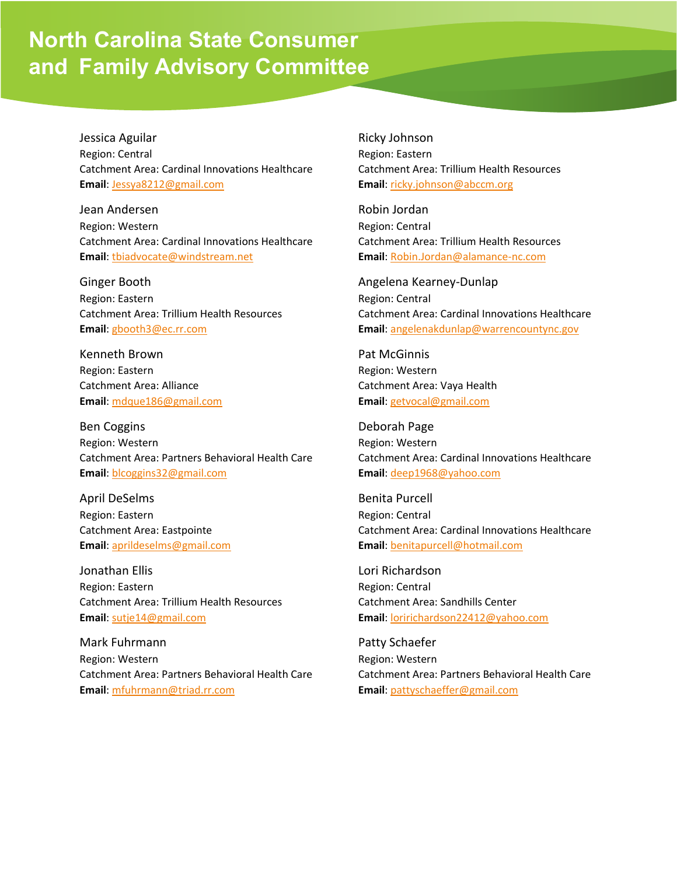## **North Carolina State Consumer and Family Advisory Committee**

Jessica Aguilar Region: Central Catchment Area: Cardinal Innovations Healthcare **Email**: [Jessya8212@gmail.com](mailto:Jessya8212@gmail.com)

Jean Andersen Region: Western Catchment Area: Cardinal Innovations Healthcare **Email**: [tbiadvocate@windstream.net](mailto:tbiadvocate@windstream.net)

Ginger Booth Region: Eastern Catchment Area: Trillium Health Resources **Email**: [gbooth3@ec.rr.com](mailto:gbooth3@ec.rr.com)

Kenneth Brown Region: Eastern Catchment Area: Alliance **Email**: [mdque186@gmail.com](mailto:mdque186@gmail.com)

Ben Coggins Region: Western Catchment Area: Partners Behavioral Health Care **Email**: [blcoggins32@gmail.com](mailto:blcoggins32@gmail.com)

April DeSelms Region: Eastern Catchment Area: Eastpointe **Email**: [aprildeselms@gmail.com](mailto:aprildeselms@gmail.com)

Jonathan Ellis Region: Eastern Catchment Area: Trillium Health Resources **Email**: [sutje14@gmail.com](mailto:sutje14@gmail.com)

Mark Fuhrmann Region: Western Catchment Area: Partners Behavioral Health Care **Email**: [mfuhrmann@triad.rr.com](mailto:mfuhrmann@triad.rr.com)

## Ricky Johnson

Region: Eastern Catchment Area: Trillium Health Resources **Email**: [ricky.johnson@abccm.org](mailto:ricky.johnson@abccm.org)

Robin Jordan Region: Central Catchment Area: Trillium Health Resources **Email**: [Robin.Jordan@alamance-nc.com](mailto:Robin.Jordan@alamance-nc.com)

Angelena Kearney-Dunlap Region: Central Catchment Area: Cardinal Innovations Healthcare **Email**: [angelenakdunlap@warrencountync.gov](mailto:angelenakdunlap@warrencountync.gov)

Pat McGinnis Region: Western Catchment Area: Vaya Health **Email**: [getvocal@gmail.com](mailto:getvocal@gmail.com)

Deborah Page Region: Western Catchment Area: Cardinal Innovations Healthcare **Email**: [deep1968@yahoo.com](mailto:deep1968@yahoo.com)

Benita Purcell Region: Central Catchment Area: Cardinal Innovations Healthcare **Email**: [benitapurcell@hotmail.com](mailto:benitapurcell@hotmail.com)

Lori Richardson Region: Central Catchment Area: Sandhills Center **Email**: [loririchardson22412@yahoo.com](mailto:loririchardson22412@yahoo.com)

Patty Schaefer Region: Western Catchment Area: Partners Behavioral Health Care **Email**: [pattyschaeffer@gmail.com](mailto:pattyschaeffer@gmail.com)